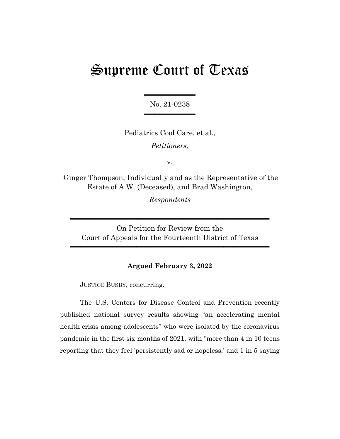## Supreme Court of Texas

═════════════════ No. 21-0238 ═════════════════

Pediatrics Cool Care, et al., *Petitioners*,

v.

Ginger Thompson, Individually and as the Representative of the Estate of A.W. (Deceased), and Brad Washington,

*Respondents*

On Petition for Review from the Court of Appeals for the Fourteenth District of Texas

═══════════════════════════════════════

═══════════════════════════════════════

## **Argued February 3, 2022**

JUSTICE BUSBY, concurring.

The U.S. Centers for Disease Control and Prevention recently published national survey results showing "an accelerating mental health crisis among adolescents" who were isolated by the coronavirus pandemic in the first six months of 2021, with "more than 4 in 10 teens reporting that they feel 'persistently sad or hopeless,' and 1 in 5 saying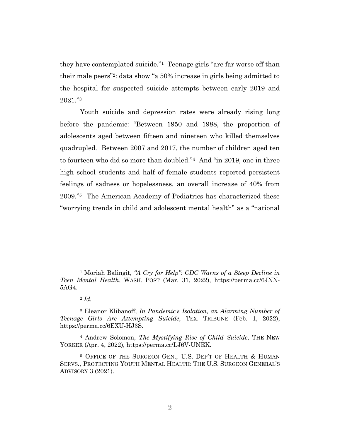they have contemplated suicide."<sup>1</sup> Teenage girls "are far worse off than their male peers"2: data show "a 50% increase in girls being admitted to the hospital for suspected suicide attempts between early 2019 and 2021."<sup>3</sup>

Youth suicide and depression rates were already rising long before the pandemic: "Between 1950 and 1988, the proportion of adolescents aged between fifteen and nineteen who killed themselves quadrupled. Between 2007 and 2017, the number of children aged ten to fourteen who did so more than doubled."<sup>4</sup> And "in 2019, one in three high school students and half of female students reported persistent feelings of sadness or hopelessness, an overall increase of 40% from 2009."5 The American Academy of Pediatrics has characterized these "worrying trends in child and adolescent mental health" as a "national

<sup>1</sup> Moriah Balingit, *"A Cry for Help": CDC Warns of a Steep Decline in Teen Mental Health*, WASH. POST (Mar. 31, 2022), https://perma.cc/6JNN-5AG4.

<sup>2</sup> *Id.*

<sup>3</sup> Eleanor Klibanoff, *In Pandemic's Isolation, an Alarming Number of Teenage Girls Are Attempting Suicide*, TEX. TRIBUNE (Feb. 1, 2022), https://perma.cc/6EXU-HJ3S.

<sup>4</sup> Andrew Solomon, *The Mystifying Rise of Child Suicide*, THE NEW YORKER (Apr. 4, 2022), https://perma.cc/LJ6V-UNEK.

<sup>5</sup> OFFICE OF THE SURGEON GEN., U.S. DEP'T OF HEALTH & HUMAN SERVS., PROTECTING YOUTH MENTAL HEALTH: THE U.S. SURGEON GENERAL'S ADVISORY 3 (2021).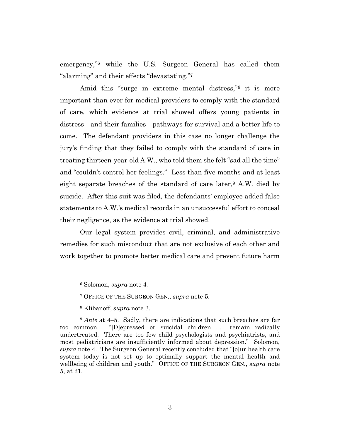emergency,"<sup>6</sup> while the U.S. Surgeon General has called them "alarming" and their effects "devastating."<sup>7</sup>

Amid this "surge in extreme mental distress,"<sup>8</sup> it is more important than ever for medical providers to comply with the standard of care, which evidence at trial showed offers young patients in distress—and their families—pathways for survival and a better life to come. The defendant providers in this case no longer challenge the jury's finding that they failed to comply with the standard of care in treating thirteen-year-old A.W., who told them she felt "sad all the time" and "couldn't control her feelings." Less than five months and at least eight separate breaches of the standard of care later,<sup>9</sup> A.W. died by suicide. After this suit was filed, the defendants' employee added false statements to A.W.'s medical records in an unsuccessful effort to conceal their negligence, as the evidence at trial showed.

Our legal system provides civil, criminal, and administrative remedies for such misconduct that are not exclusive of each other and work together to promote better medical care and prevent future harm

<sup>6</sup> Solomon, *supra* note 4*.*

<sup>7</sup> OFFICE OF THE SURGEON GEN., *supra* note 5.

<sup>8</sup> Klibanoff, *supra* note 3.

<sup>&</sup>lt;sup>9</sup> *Ante* at 4–5. Sadly, there are indications that such breaches are far too common. "[D]epressed or suicidal children . . . remain radically undertreated. There are too few child psychologists and psychiatrists, and most pediatricians are insufficiently informed about depression." Solomon, *supra* note 4. The Surgeon General recently concluded that "[o]ur health care system today is not set up to optimally support the mental health and wellbeing of children and youth." OFFICE OF THE SURGEON GEN., *supra* note 5, at 21.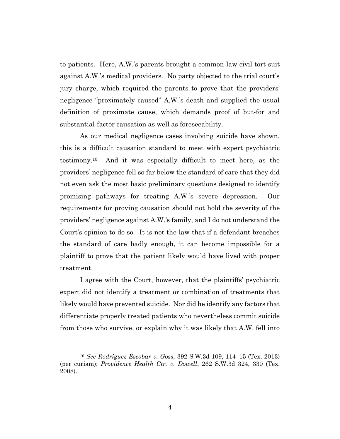to patients. Here, A.W.'s parents brought a common-law civil tort suit against A.W.'s medical providers. No party objected to the trial court's jury charge, which required the parents to prove that the providers' negligence "proximately caused" A.W.'s death and supplied the usual definition of proximate cause, which demands proof of but-for and substantial-factor causation as well as foreseeability.

As our medical negligence cases involving suicide have shown, this is a difficult causation standard to meet with expert psychiatric testimony.10 And it was especially difficult to meet here, as the providers' negligence fell so far below the standard of care that they did not even ask the most basic preliminary questions designed to identify promising pathways for treating A.W.'s severe depression. Our requirements for proving causation should not hold the severity of the providers' negligence against A.W.'s family, and I do not understand the Court's opinion to do so. It is not the law that if a defendant breaches the standard of care badly enough, it can become impossible for a plaintiff to prove that the patient likely would have lived with proper treatment.

I agree with the Court, however, that the plaintiffs' psychiatric expert did not identify a treatment or combination of treatments that likely would have prevented suicide. Nor did he identify any factors that differentiate properly treated patients who nevertheless commit suicide from those who survive, or explain why it was likely that A.W. fell into

<sup>10</sup> *See Rodriguez-Escobar v. Goss*, 392 S.W.3d 109, 114–15 (Tex. 2013) (per curiam); *Providence Health Ctr. v. Dowell*, 262 S.W.3d 324, 330 (Tex. 2008).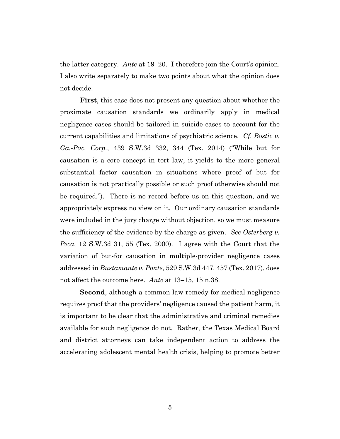the latter category. *Ante* at 19–20. I therefore join the Court's opinion. I also write separately to make two points about what the opinion does not decide.

**First**, this case does not present any question about whether the proximate causation standards we ordinarily apply in medical negligence cases should be tailored in suicide cases to account for the current capabilities and limitations of psychiatric science. *Cf. Bostic v. Ga.-Pac. Corp.*, 439 S.W.3d 332, 344 (Tex. 2014) ("While but for causation is a core concept in tort law, it yields to the more general substantial factor causation in situations where proof of but for causation is not practically possible or such proof otherwise should not be required."). There is no record before us on this question, and we appropriately express no view on it. Our ordinary causation standards were included in the jury charge without objection, so we must measure the sufficiency of the evidence by the charge as given. *See Osterberg v. Peca*, 12 S.W.3d 31, 55 (Tex. 2000). I agree with the Court that the variation of but-for causation in multiple-provider negligence cases addressed in *Bustamante v. Ponte*, 529 S.W.3d 447, 457 (Tex. 2017), does not affect the outcome here. *Ante* at 13–15, 15 n.38.

**Second**, although a common-law remedy for medical negligence requires proof that the providers' negligence caused the patient harm, it is important to be clear that the administrative and criminal remedies available for such negligence do not. Rather, the Texas Medical Board and district attorneys can take independent action to address the accelerating adolescent mental health crisis, helping to promote better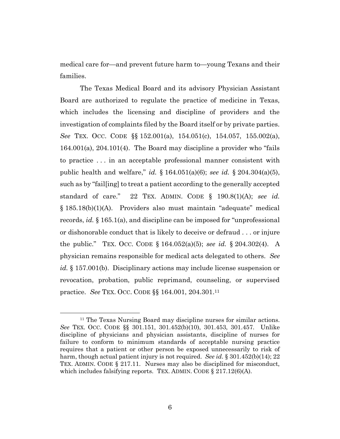medical care for—and prevent future harm to—young Texans and their families.

The Texas Medical Board and its advisory Physician Assistant Board are authorized to regulate the practice of medicine in Texas, which includes the licensing and discipline of providers and the investigation of complaints filed by the Board itself or by private parties. *See* TEX. OCC. CODE §§ 152.001(a), 154.051(c), 154.057, 155.002(a), 164.001(a), 204.101(4). The Board may discipline a provider who "fails to practice . . . in an acceptable professional manner consistent with public health and welfare," *id.* § 164.051(a)(6); *see id.* § 204.304(a)(5), such as by "fail[ing] to treat a patient according to the generally accepted standard of care." 22 TEX. ADMIN. CODE § 190.8(1)(A); *see id.*  § 185.18(b)(1)(A). Providers also must maintain "adequate" medical records, *id.* § 165.1(a), and discipline can be imposed for "unprofessional or dishonorable conduct that is likely to deceive or defraud . . . or injure the public." TEX. OCC. CODE § 164.052(a)(5); *see id.* § 204.302(4). A physician remains responsible for medical acts delegated to others. *See id.* § 157.001(b). Disciplinary actions may include license suspension or revocation, probation, public reprimand, counseling, or supervised practice. *See* TEX. OCC. CODE §§ 164.001, 204.301.<sup>11</sup>

<sup>&</sup>lt;sup>11</sup> The Texas Nursing Board may discipline nurses for similar actions. *See* TEX. OCC. CODE §§ 301.151, 301.452(b)(10), 301.453, 301.457. Unlike discipline of physicians and physician assistants, discipline of nurses for failure to conform to minimum standards of acceptable nursing practice requires that a patient or other person be exposed unnecessarily to risk of harm, though actual patient injury is not required. *See id*. § 301.452(b)(14); 22 TEX. ADMIN. CODE § 217.11. Nurses may also be disciplined for misconduct, which includes falsifying reports. TEX. ADMIN. CODE § 217.12(6)(A).